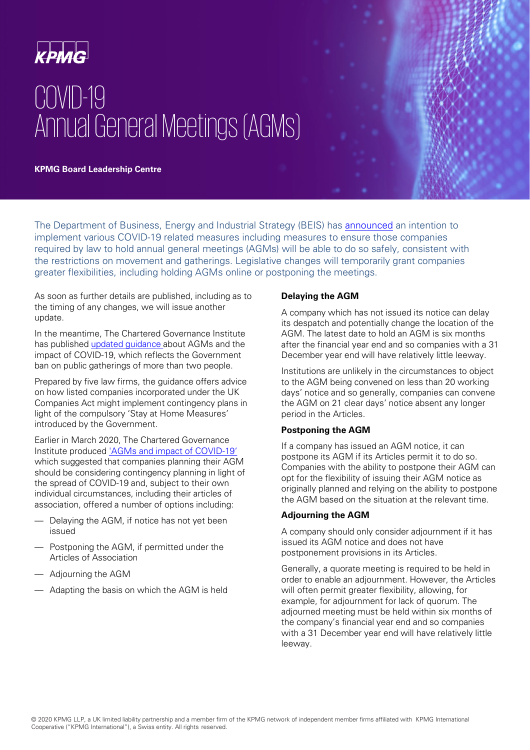

# COVID-19 Annual General Meetings (AGMs)

**KPMG Board Leadership Centre** 

The Department of Business, Energy and Industrial Strategy (BEIS) has **[announced](https://www.gov.uk/government/news/regulations-temporarily-suspended-to-fast-track-supplies-of-ppe-to-nhs-staff-and-protect-companies-hit-by-covid-19)** an intention to implement various COVID-19 related measures including measures to ensure those companies required by law to hold annual general meetings (AGMs) will be able to do so safely, consistent with the restrictions on movement and gatherings. Legislative changes will temporarily grant companies greater flexibilities, including holding AGMs online or postponing the meetings.

As soon as further details are published, including as to the timing of any changes, we will issue another update.

In the meantime, The Chartered Governance Institute has published [updated guidance](https://www.icsa.org.uk/assets/files/pdfs/guidance/agms-and-impact-of-covid-19-supplement-web.pdf) about AGMs and the impact of COVID-19, which reflects the Government ban on public gatherings of more than two people.

Prepared by five law firms, the guidance offers advice on how listed companies incorporated under the UK Companies Act might implement contingency plans in light of the compulsory 'Stay at Home Measures' introduced by the Government.

Earlier in March 2020, The Chartered Governance Institute produced ['AGMs and impact of COVID-19'](https://www.icsa.org.uk/assets/files/pdfs/guidance/agms-and-impact-of-covid-19-web.pdf)  which suggested that companies planning their AGM should be considering contingency planning in light of the spread of COVID-19 and, subject to their own individual circumstances, including their articles of association, offered a number of options including:

- Delaying the AGM, if notice has not yet been issued
- Postponing the AGM, if permitted under the Articles of Association
- Adjourning the AGM
- Adapting the basis on which the AGM is held

## **Delaying the AGM**

A company which has not issued its notice can delay its despatch and potentially change the location of the AGM. The latest date to hold an AGM is six months after the financial year end and so companies with a 31 December year end will have relatively little leeway.

Institutions are unlikely in the circumstances to object to the AGM being convened on less than 20 working days' notice and so generally, companies can convene the AGM on 21 clear days' notice absent any longer period in the Articles.

## **Postponing the AGM**

If a company has issued an AGM notice, it can postpone its AGM if its Articles permit it to do so. Companies with the ability to postpone their AGM can opt for the flexibility of issuing their AGM notice as originally planned and relying on the ability to postpone the AGM based on the situation at the relevant time.

## **Adjourning the AGM**

A company should only consider adjournment if it has issued its AGM notice and does not have postponement provisions in its Articles.

Generally, a quorate meeting is required to be held in order to enable an adjournment. However, the Articles will often permit greater flexibility, allowing, for example, for adjournment for lack of quorum. The adjourned meeting must be held within six months of the company's financial year end and so companies with a 31 December year end will have relatively little leeway.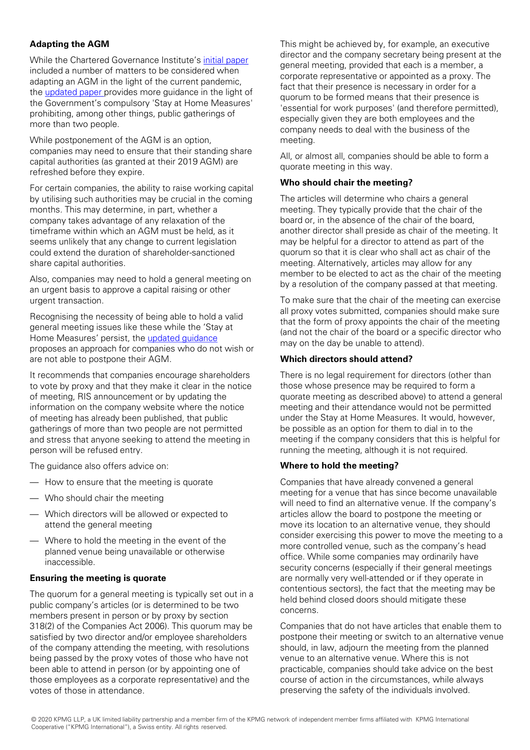## **Adapting the AGM**

While the Chartered Governance Institute's [initial paper](https://www.icsa.org.uk/assets/files/pdfs/guidance/agms-and-impact-of-covid-19-web.pdf) included a number of matters to be considered when adapting an AGM in the light of the current pandemic, the [updated paper p](https://www.icsa.org.uk/assets/files/pdfs/guidance/agms-and-impact-of-covid-19-supplement-web.pdf)rovides more guidance in the light of the Government's compulsory 'Stay at Home Measures' prohibiting, among other things, public gatherings of more than two people.

While postponement of the AGM is an option, companies may need to ensure that their standing share capital authorities (as granted at their 2019 AGM) are refreshed before they expire.

For certain companies, the ability to raise working capital by utilising such authorities may be crucial in the coming months. This may determine, in part, whether a company takes advantage of any relaxation of the timeframe within which an AGM must be held, as it seems unlikely that any change to current legislation could extend the duration of shareholder-sanctioned share capital authorities.

Also, companies may need to hold a general meeting on an urgent basis to approve a capital raising or other urgent transaction.

Recognising the necessity of being able to hold a valid general meeting issues like these while the 'Stay at Home Measures' persist, the [updated guidance](https://www.icsa.org.uk/assets/files/pdfs/guidance/agms-and-impact-of-covid-19-supplement-web.pdf) proposes an approach for companies who do not wish or are not able to postpone their AGM.

It recommends that companies encourage shareholders to vote by proxy and that they make it clear in the notice of meeting, RIS announcement or by updating the information on the company website where the notice of meeting has already been published, that public gatherings of more than two people are not permitted and stress that anyone seeking to attend the meeting in person will be refused entry.

The guidance also offers advice on:

- How to ensure that the meeting is quorate
- Who should chair the meeting
- Which directors will be allowed or expected to attend the general meeting
- Where to hold the meeting in the event of the planned venue being unavailable or otherwise inaccessible.

## **Ensuring the meeting is quorate**

The quorum for a general meeting is typically set out in a public company's articles (or is determined to be two members present in person or by proxy by section 318(2) of the Companies Act 2006). This quorum may be satisfied by two director and/or employee shareholders of the company attending the meeting, with resolutions being passed by the proxy votes of those who have not been able to attend in person (or by appointing one of those employees as a corporate representative) and the votes of those in attendance.

This might be achieved by, for example, an executive director and the company secretary being present at the general meeting, provided that each is a member, a corporate representative or appointed as a proxy. The fact that their presence is necessary in order for a quorum to be formed means that their presence is 'essential for work purposes' (and therefore permitted), especially given they are both employees and the company needs to deal with the business of the meeting.

All, or almost all, companies should be able to form a quorate meeting in this way.

#### **Who should chair the meeting?**

The articles will determine who chairs a general meeting. They typically provide that the chair of the board or, in the absence of the chair of the board, another director shall preside as chair of the meeting. It may be helpful for a director to attend as part of the quorum so that it is clear who shall act as chair of the meeting. Alternatively, articles may allow for any member to be elected to act as the chair of the meeting by a resolution of the company passed at that meeting.

To make sure that the chair of the meeting can exercise all proxy votes submitted, companies should make sure that the form of proxy appoints the chair of the meeting (and not the chair of the board or a specific director who may on the day be unable to attend).

## **Which directors should attend?**

There is no legal requirement for directors (other than those whose presence may be required to form a quorate meeting as described above) to attend a general meeting and their attendance would not be permitted under the Stay at Home Measures. It would, however, be possible as an option for them to dial in to the meeting if the company considers that this is helpful for running the meeting, although it is not required.

## **Where to hold the meeting?**

Companies that have already convened a general meeting for a venue that has since become unavailable will need to find an alternative venue. If the company's articles allow the board to postpone the meeting or move its location to an alternative venue, they should consider exercising this power to move the meeting to a more controlled venue, such as the company's head office. While some companies may ordinarily have security concerns (especially if their general meetings are normally very well-attended or if they operate in contentious sectors), the fact that the meeting may be held behind closed doors should mitigate these concerns.

Companies that do not have articles that enable them to postpone their meeting or switch to an alternative venue should, in law, adjourn the meeting from the planned venue to an alternative venue. Where this is not practicable, companies should take advice on the best course of action in the circumstances, while always preserving the safety of the individuals involved.